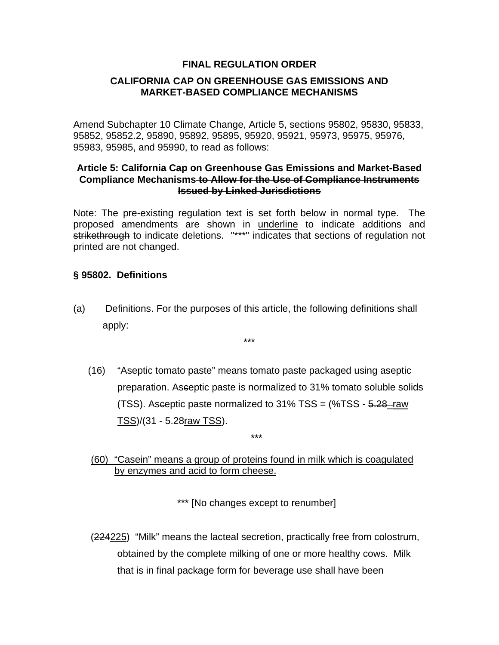### **FINAL REGULATION ORDER**

## **CALIFORNIA CAP ON GREENHOUSE GAS EMISSIONS AND MARKET-BASED COMPLIANCE MECHANISMS**

Amend Subchapter 10 Climate Change, Article 5, sections 95802, 95830, 95833, 95852, 95852.2, 95890, 95892, 95895, 95920, 95921, 95973, 95975, 95976, 95983, 95985, and 95990, to read as follows:

#### **Article 5: California Cap on Greenhouse Gas Emissions and Market-Based Compliance Mechanisms to Allow for the Use of Compliance Instruments Issued by Linked Jurisdictions**

Note: The pre-existing regulation text is set forth below in normal type. The proposed amendments are shown in underline to indicate additions and strikethrough to indicate deletions. "\*\*\*" indicates that sections of regulation not printed are not changed.

### **§ 95802. Definitions**

(a) Definitions. For the purposes of this article, the following definitions shall apply:

\*\*\*

(16) "Aseptic tomato paste" means tomato paste packaged using aseptic preparation. Asceptic paste is normalized to 31% tomato soluble solids (TSS). Asceptic paste normalized to 31% TSS = (%TSS - 5.28\_raw TSS)/(31 - 5.28raw TSS).

\*\*\*

(60) "Casein" means a group of proteins found in milk which is coagulated by enzymes and acid to form cheese.

\*\*\* [No changes except to renumber]

 (224225) "Milk" means the lacteal secretion, practically free from colostrum, obtained by the complete milking of one or more healthy cows. Milk that is in final package form for beverage use shall have been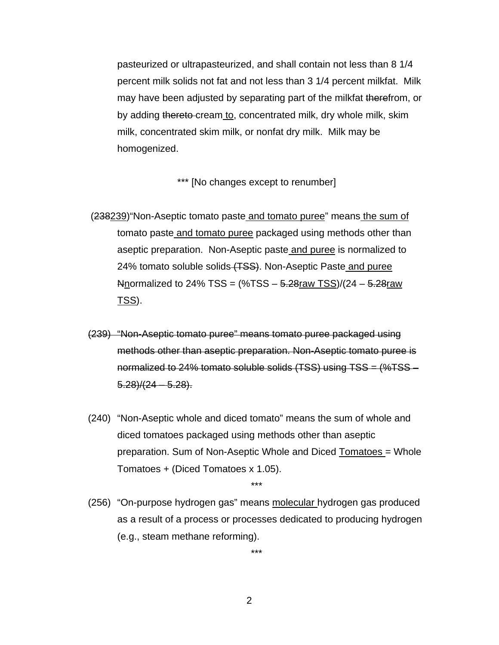pasteurized or ultrapasteurized, and shall contain not less than 8 1/4 percent milk solids not fat and not less than 3 1/4 percent milkfat. Milk may have been adjusted by separating part of the milkfat therefrom, or by adding thereto-cream to, concentrated milk, dry whole milk, skim milk, concentrated skim milk, or nonfat dry milk. Milk may be homogenized.

\*\*\* [No changes except to renumber]

- (238239)"Non-Aseptic tomato paste and tomato puree" means the sum of tomato paste and tomato puree packaged using methods other than aseptic preparation. Non-Aseptic paste and puree is normalized to 24% tomato soluble solids (TSS). Non-Aseptic Paste and puree Anormalized to 24% TSS =  $(\%TSS - 5.28raw TSS)/(24 - 5.28raw$ TSS).
- (239) "Non-Aseptic tomato puree" means tomato puree packaged using methods other than aseptic preparation. Non-Aseptic tomato puree is normalized to 24% tomato soluble solids (TSS) using TSS = (%TSS –  $5.28/(24 - 5.28)$ .
- (240) "Non-Aseptic whole and diced tomato" means the sum of whole and diced tomatoes packaged using methods other than aseptic preparation. Sum of Non-Aseptic Whole and Diced Tomatoes = Whole Tomatoes + (Diced Tomatoes x 1.05).

\*\*\*

(256) "On-purpose hydrogen gas" means molecular hydrogen gas produced as a result of a process or processes dedicated to producing hydrogen (e.g., steam methane reforming).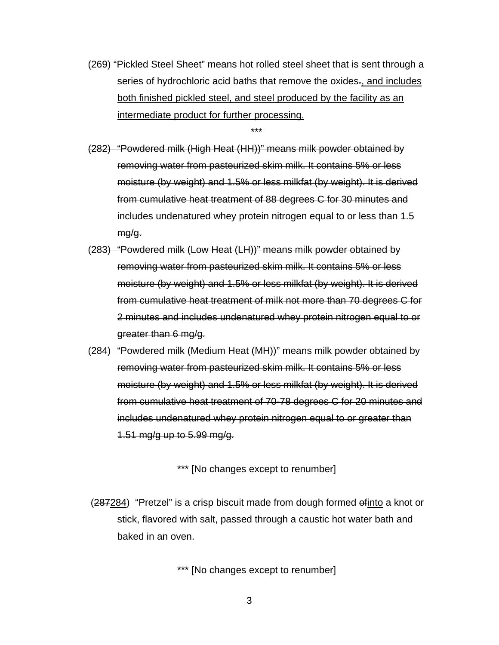(269) "Pickled Steel Sheet" means hot rolled steel sheet that is sent through a series of hydrochloric acid baths that remove the oxides-, and includes both finished pickled steel, and steel produced by the facility as an intermediate product for further processing.

\*\*\*

(282) "Powdered milk (High Heat (HH))" means milk powder obtained by removing water from pasteurized skim milk. It contains 5% or less moisture (by weight) and 1.5% or less milkfat (by weight). It is derived from cumulative heat treatment of 88 degrees C for 30 minutes and includes undenatured whey protein nitrogen equal to or less than 1.5 mg/g.

- (283) "Powdered milk (Low Heat (LH))" means milk powder obtained by removing water from pasteurized skim milk. It contains 5% or less moisture (by weight) and 1.5% or less milkfat (by weight). It is derived from cumulative heat treatment of milk not more than 70 degrees C for 2 minutes and includes undenatured whey protein nitrogen equal to or greater than 6 mg/g.
- (284) "Powdered milk (Medium Heat (MH))" means milk powder obtained by removing water from pasteurized skim milk. It contains 5% or less moisture (by weight) and 1.5% or less milkfat (by weight). It is derived from cumulative heat treatment of 70-78 degrees C for 20 minutes and includes undenatured whey protein nitrogen equal to or greater than 1.51 mg/g up to 5.99 mg/g.

\*\*\* [No changes except to renumber]

 (287284) "Pretzel" is a crisp biscuit made from dough formed ofinto a knot or stick, flavored with salt, passed through a caustic hot water bath and baked in an oven.

\*\*\* [No changes except to renumber]

3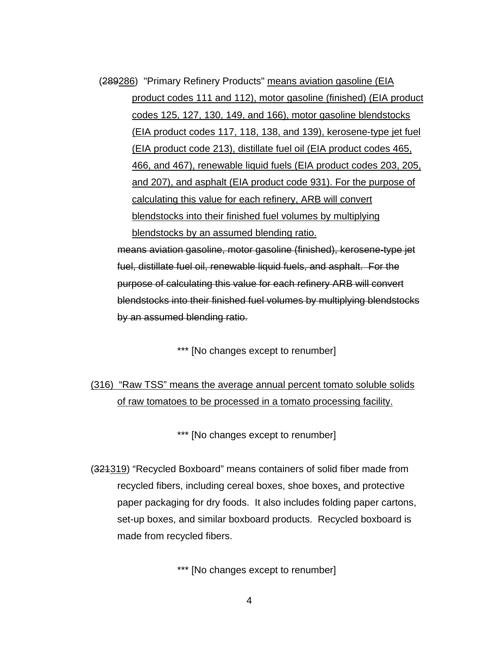(289286) "Primary Refinery Products" means aviation gasoline (EIA product codes 111 and 112), motor gasoline (finished) (EIA product codes 125, 127, 130, 149, and 166), motor gasoline blendstocks (EIA product codes 117, 118, 138, and 139), kerosene-type jet fuel (EIA product code 213), distillate fuel oil (EIA product codes 465, 466, and 467), renewable liquid fuels (EIA product codes 203, 205, and 207), and asphalt (EIA product code 931). For the purpose of calculating this value for each refinery, ARB will convert blendstocks into their finished fuel volumes by multiplying blendstocks by an assumed blending ratio.

 means aviation gasoline, motor gasoline (finished), kerosene-type jet fuel, distillate fuel oil, renewable liquid fuels, and asphalt. For the purpose of calculating this value for each refinery ARB will convert blendstocks into their finished fuel volumes by multiplying blendstocks by an assumed blending ratio.

\*\*\* [No changes except to renumber]

 (316) "Raw TSS" means the average annual percent tomato soluble solids of raw tomatoes to be processed in a tomato processing facility.

\*\*\* [No changes except to renumber]

 (321319) "Recycled Boxboard" means containers of solid fiber made from recycled fibers, including cereal boxes, shoe boxes, and protective paper packaging for dry foods. It also includes folding paper cartons, set-up boxes, and similar boxboard products. Recycled boxboard is made from recycled fibers.

\*\*\* [No changes except to renumber]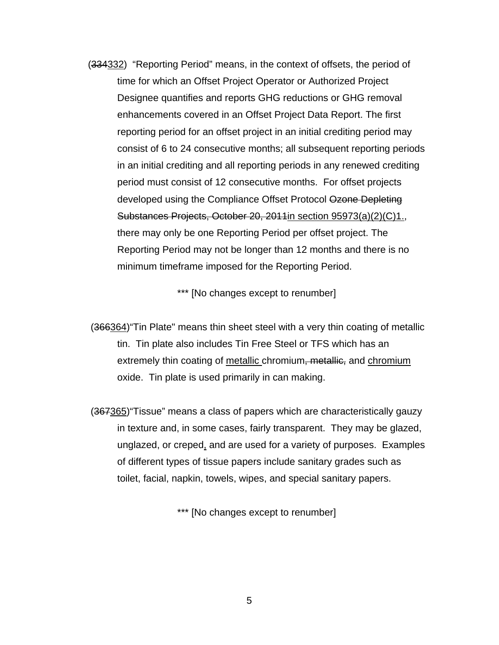(334332) "Reporting Period" means, in the context of offsets, the period of time for which an Offset Project Operator or Authorized Project Designee quantifies and reports GHG reductions or GHG removal enhancements covered in an Offset Project Data Report. The first reporting period for an offset project in an initial crediting period may consist of 6 to 24 consecutive months; all subsequent reporting periods in an initial crediting and all reporting periods in any renewed crediting period must consist of 12 consecutive months. For offset projects developed using the Compliance Offset Protocol Ozone Depleting Substances Projects, October 20, 2011in section 95973(a)(2)(C)1., there may only be one Reporting Period per offset project. The Reporting Period may not be longer than 12 months and there is no minimum timeframe imposed for the Reporting Period.

\*\*\* [No changes except to renumber]

 (366364)"Tin Plate" means thin sheet steel with a very thin coating of metallic tin. Tin plate also includes Tin Free Steel or TFS which has an extremely thin coating of metallic chromium<del>, metallic,</del> and chromium oxide. Tin plate is used primarily in can making.

 (367365)"Tissue" means a class of papers which are characteristically gauzy in texture and, in some cases, fairly transparent. They may be glazed, unglazed, or creped, and are used for a variety of purposes. Examples of different types of tissue papers include sanitary grades such as toilet, facial, napkin, towels, wipes, and special sanitary papers.

\*\*\* [No changes except to renumber]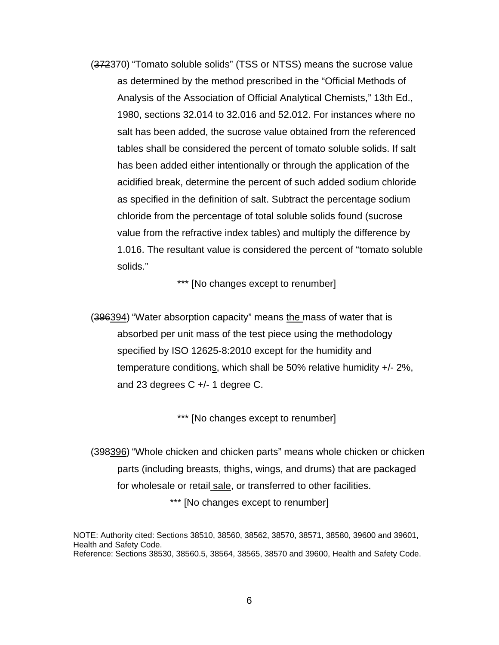(372370) "Tomato soluble solids" (TSS or NTSS) means the sucrose value as determined by the method prescribed in the "Official Methods of Analysis of the Association of Official Analytical Chemists," 13th Ed., 1980, sections 32.014 to 32.016 and 52.012. For instances where no salt has been added, the sucrose value obtained from the referenced tables shall be considered the percent of tomato soluble solids. If salt has been added either intentionally or through the application of the acidified break, determine the percent of such added sodium chloride as specified in the definition of salt. Subtract the percentage sodium chloride from the percentage of total soluble solids found (sucrose value from the refractive index tables) and multiply the difference by 1.016. The resultant value is considered the percent of "tomato soluble solids."

\*\*\* [No changes except to renumber]

(396394) "Water absorption capacity" means the mass of water that is absorbed per unit mass of the test piece using the methodology specified by ISO 12625-8:2010 except for the humidity and temperature conditions, which shall be 50% relative humidity +/- 2%, and 23 degrees C +/- 1 degree C.

\*\*\* [No changes except to renumber]

 (398396) "Whole chicken and chicken parts" means whole chicken or chicken parts (including breasts, thighs, wings, and drums) that are packaged for wholesale or retail sale, or transferred to other facilities. \*\*\* [No changes except to renumber]

NOTE: Authority cited: Sections 38510, 38560, 38562, 38570, 38571, 38580, 39600 and 39601, Health and Safety Code. Reference: Sections 38530, 38560.5, 38564, 38565, 38570 and 39600, Health and Safety Code.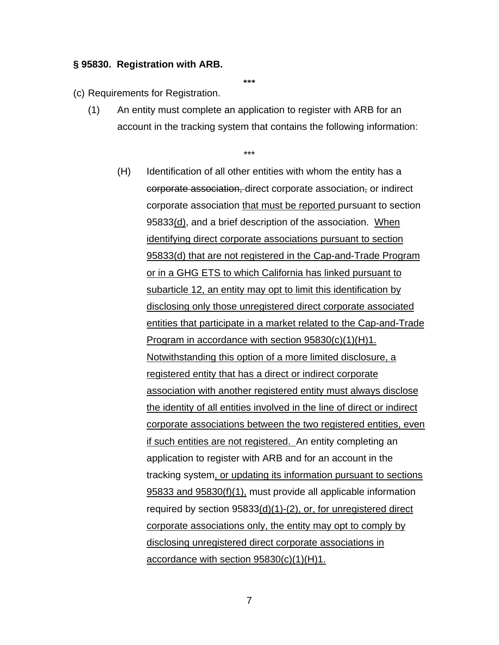#### **§ 95830. Registration with ARB.**

**\*\*\*** 

#### (c) Requirements for Registration.

(1) An entity must complete an application to register with ARB for an account in the tracking system that contains the following information:

\*\*\*

(H) Identification of all other entities with whom the entity has a corporate association, direct corporate association, or indirect corporate association that must be reported pursuant to section 95833(d), and a brief description of the association. When identifying direct corporate associations pursuant to section 95833(d) that are not registered in the Cap-and-Trade Program or in a GHG ETS to which California has linked pursuant to subarticle 12, an entity may opt to limit this identification by disclosing only those unregistered direct corporate associated entities that participate in a market related to the Cap-and-Trade Program in accordance with section 95830(c)(1)(H)1. Notwithstanding this option of a more limited disclosure, a registered entity that has a direct or indirect corporate association with another registered entity must always disclose the identity of all entities involved in the line of direct or indirect corporate associations between the two registered entities, even if such entities are not registered. An entity completing an application to register with ARB and for an account in the tracking system, or updating its information pursuant to sections 95833 and 95830(f)(1), must provide all applicable information required by section 95833(d)(1)-(2), or, for unregistered direct corporate associations only, the entity may opt to comply by disclosing unregistered direct corporate associations in accordance with section 95830(c)(1)(H)1.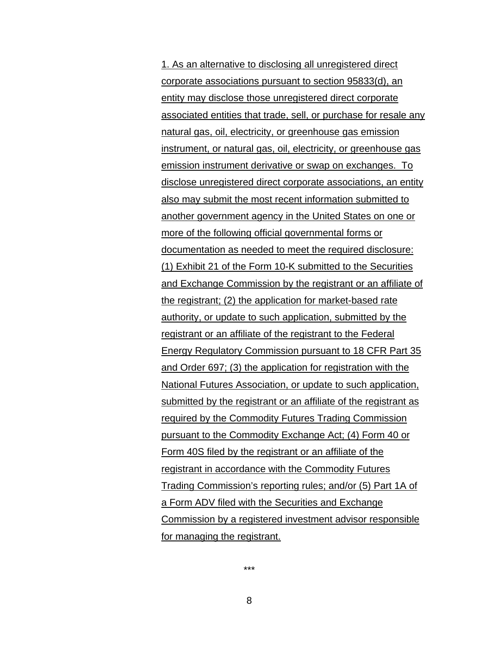1. As an alternative to disclosing all unregistered direct corporate associations pursuant to section 95833(d), an entity may disclose those unregistered direct corporate associated entities that trade, sell, or purchase for resale any natural gas, oil, electricity, or greenhouse gas emission instrument, or natural gas, oil, electricity, or greenhouse gas emission instrument derivative or swap on exchanges. To disclose unregistered direct corporate associations, an entity also may submit the most recent information submitted to another government agency in the United States on one or more of the following official governmental forms or documentation as needed to meet the required disclosure: (1) Exhibit 21 of the Form 10-K submitted to the Securities and Exchange Commission by the registrant or an affiliate of the registrant; (2) the application for market-based rate authority, or update to such application, submitted by the registrant or an affiliate of the registrant to the Federal Energy Regulatory Commission pursuant to 18 CFR Part 35 and Order 697; (3) the application for registration with the National Futures Association, or update to such application, submitted by the registrant or an affiliate of the registrant as required by the Commodity Futures Trading Commission pursuant to the Commodity Exchange Act; (4) Form 40 or Form 40S filed by the registrant or an affiliate of the registrant in accordance with the Commodity Futures Trading Commission's reporting rules; and/or (5) Part 1A of a Form ADV filed with the Securities and Exchange Commission by a registered investment advisor responsible for managing the registrant.

\*\*\*

8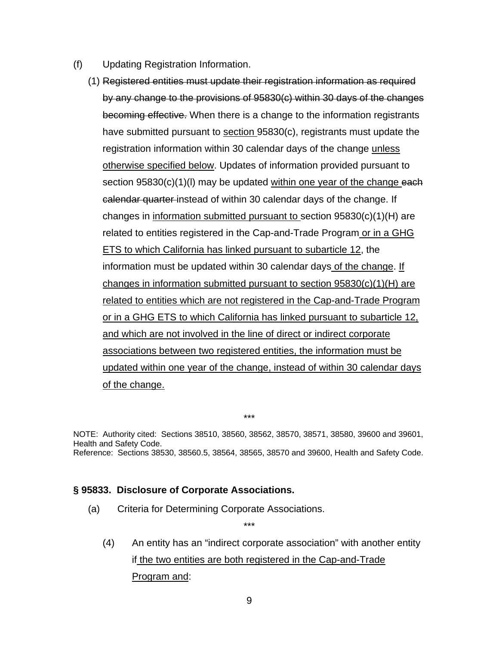- (f) Updating Registration Information.
	- (1) Registered entities must update their registration information as required by any change to the provisions of 95830(c) within 30 days of the changes becoming effective. When there is a change to the information registrants have submitted pursuant to section 95830(c), registrants must update the registration information within 30 calendar days of the change unless otherwise specified below. Updates of information provided pursuant to section  $95830(c)(1)(l)$  may be updated within one year of the change each calendar quarter instead of within 30 calendar days of the change. If changes in information submitted pursuant to section 95830(c)(1)(H) are related to entities registered in the Cap-and-Trade Program or in a GHG ETS to which California has linked pursuant to subarticle 12, the information must be updated within 30 calendar days of the change. If changes in information submitted pursuant to section 95830(c)(1)(H) are related to entities which are not registered in the Cap-and-Trade Program or in a GHG ETS to which California has linked pursuant to subarticle 12, and which are not involved in the line of direct or indirect corporate associations between two registered entities, the information must be updated within one year of the change, instead of within 30 calendar days of the change.

NOTE: Authority cited: Sections 38510, 38560, 38562, 38570, 38571, 38580, 39600 and 39601, Health and Safety Code. Reference: Sections 38530, 38560.5, 38564, 38565, 38570 and 39600, Health and Safety Code.

\*\*\*

\*\*\*

#### **§ 95833. Disclosure of Corporate Associations.**

(a) Criteria for Determining Corporate Associations.

(4) An entity has an "indirect corporate association" with another entity if the two entities are both registered in the Cap-and-Trade Program and: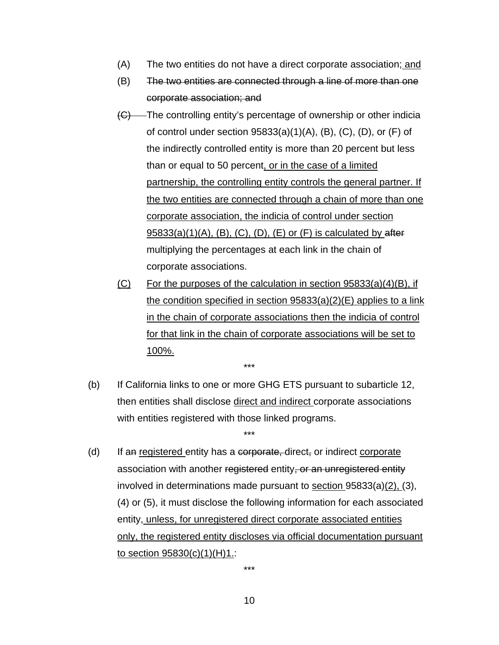- (A) The two entities do not have a direct corporate association; and
- (B) The two entities are connected through a line of more than one corporate association; and
- (C) The controlling entity's percentage of ownership or other indicia of control under section  $95833(a)(1)(A)$ ,  $(B)$ ,  $(C)$ ,  $(D)$ , or  $(F)$  of the indirectly controlled entity is more than 20 percent but less than or equal to 50 percent, or in the case of a limited partnership, the controlling entity controls the general partner. If the two entities are connected through a chain of more than one corporate association, the indicia of control under section  $95833(a)(1)(A)$ ,  $(B)$ ,  $(C)$ ,  $(D)$ ,  $(E)$  or  $(F)$  is calculated by after multiplying the percentages at each link in the chain of corporate associations.
- $(C)$  For the purposes of the calculation in section 95833(a)(4)(B), if the condition specified in section 95833(a)(2)(E) applies to a link in the chain of corporate associations then the indicia of control for that link in the chain of corporate associations will be set to 100%.
- (b) If California links to one or more GHG ETS pursuant to subarticle 12, then entities shall disclose direct and indirect corporate associations with entities registered with those linked programs.

\*\*\*

\*\*\*

 $(d)$  If an registered entity has a corporate, direct, or indirect corporate association with another registered entity, or an unregistered entity involved in determinations made pursuant to section 95833(a)(2), (3), (4) or (5), it must disclose the following information for each associated entity, unless, for unregistered direct corporate associated entities only, the registered entity discloses via official documentation pursuant to section 95830(c)(1)(H)1.: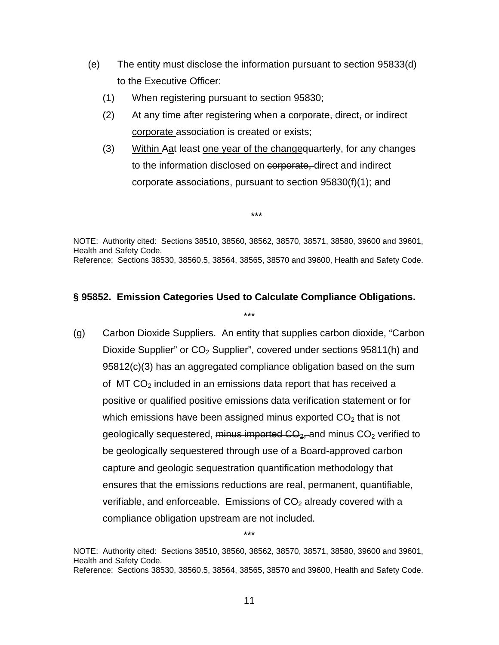- (e) The entity must disclose the information pursuant to section 95833(d) to the Executive Officer:
	- (1) When registering pursuant to section 95830;
	- (2) At any time after registering when a corporate, direct, or indirect corporate association is created or exists;
	- (3) Within Aat least one year of the change quarterly, for any changes to the information disclosed on corporate, direct and indirect corporate associations, pursuant to section 95830(f)(1); and

\*\*\*

NOTE: Authority cited: Sections 38510, 38560, 38562, 38570, 38571, 38580, 39600 and 39601, Health and Safety Code. Reference: Sections 38530, 38560.5, 38564, 38565, 38570 and 39600, Health and Safety Code.

# **§ 95852. Emission Categories Used to Calculate Compliance Obligations.**

\*\*\*

(g) Carbon Dioxide Suppliers. An entity that supplies carbon dioxide, "Carbon Dioxide Supplier" or  $CO<sub>2</sub>$  Supplier", covered under sections 95811(h) and 95812(c)(3) has an aggregated compliance obligation based on the sum of MT  $CO<sub>2</sub>$  included in an emissions data report that has received a positive or qualified positive emissions data verification statement or for which emissions have been assigned minus exported  $CO<sub>2</sub>$  that is not geologically sequestered, minus imported  $CO_{2}$  and minus  $CO_{2}$  verified to be geologically sequestered through use of a Board-approved carbon capture and geologic sequestration quantification methodology that ensures that the emissions reductions are real, permanent, quantifiable, verifiable, and enforceable. Emissions of  $CO<sub>2</sub>$  already covered with a compliance obligation upstream are not included.

NOTE: Authority cited: Sections 38510, 38560, 38562, 38570, 38571, 38580, 39600 and 39601, Health and Safety Code. Reference: Sections 38530, 38560.5, 38564, 38565, 38570 and 39600, Health and Safety Code.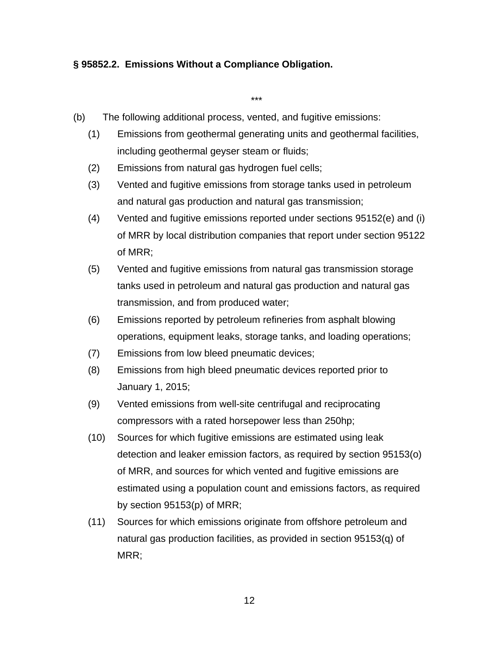### **§ 95852.2. Emissions Without a Compliance Obligation.**

- (b) The following additional process, vented, and fugitive emissions:
	- (1) Emissions from geothermal generating units and geothermal facilities, including geothermal geyser steam or fluids;

- (2) Emissions from natural gas hydrogen fuel cells;
- (3) Vented and fugitive emissions from storage tanks used in petroleum and natural gas production and natural gas transmission;
- (4) Vented and fugitive emissions reported under sections 95152(e) and (i) of MRR by local distribution companies that report under section 95122 of MRR;
- (5) Vented and fugitive emissions from natural gas transmission storage tanks used in petroleum and natural gas production and natural gas transmission, and from produced water;
- (6) Emissions reported by petroleum refineries from asphalt blowing operations, equipment leaks, storage tanks, and loading operations;
- (7) Emissions from low bleed pneumatic devices;
- (8) Emissions from high bleed pneumatic devices reported prior to January 1, 2015;
- (9) Vented emissions from well-site centrifugal and reciprocating compressors with a rated horsepower less than 250hp;
- (10) Sources for which fugitive emissions are estimated using leak detection and leaker emission factors, as required by section 95153(o) of MRR, and sources for which vented and fugitive emissions are estimated using a population count and emissions factors, as required by section 95153(p) of MRR;
- (11) Sources for which emissions originate from offshore petroleum and natural gas production facilities, as provided in section 95153(q) of MRR;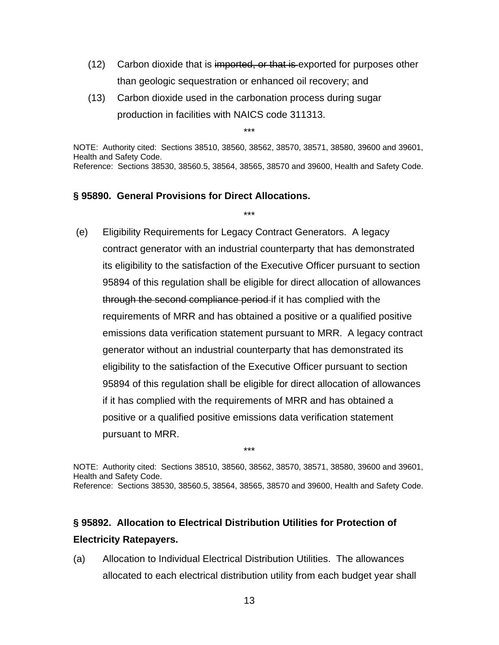- (12) Carbon dioxide that is imported, or that is exported for purposes other than geologic sequestration or enhanced oil recovery; and
- (13) Carbon dioxide used in the carbonation process during sugar production in facilities with NAICS code 311313.

NOTE: Authority cited: Sections 38510, 38560, 38562, 38570, 38571, 38580, 39600 and 39601, Health and Safety Code. Reference: Sections 38530, 38560.5, 38564, 38565, 38570 and 39600, Health and Safety Code.

\*\*\*

\*\*\*

### **§ 95890. General Provisions for Direct Allocations.**

 (e) Eligibility Requirements for Legacy Contract Generators. A legacy contract generator with an industrial counterparty that has demonstrated its eligibility to the satisfaction of the Executive Officer pursuant to section 95894 of this regulation shall be eligible for direct allocation of allowances through the second compliance period if it has complied with the requirements of MRR and has obtained a positive or a qualified positive emissions data verification statement pursuant to MRR. A legacy contract generator without an industrial counterparty that has demonstrated its eligibility to the satisfaction of the Executive Officer pursuant to section 95894 of this regulation shall be eligible for direct allocation of allowances if it has complied with the requirements of MRR and has obtained a positive or a qualified positive emissions data verification statement pursuant to MRR.

NOTE: Authority cited: Sections 38510, 38560, 38562, 38570, 38571, 38580, 39600 and 39601, Health and Safety Code. Reference: Sections 38530, 38560.5, 38564, 38565, 38570 and 39600, Health and Safety Code.

\*\*\*

# **§ 95892. Allocation to Electrical Distribution Utilities for Protection of Electricity Ratepayers.**

(a) Allocation to Individual Electrical Distribution Utilities. The allowances allocated to each electrical distribution utility from each budget year shall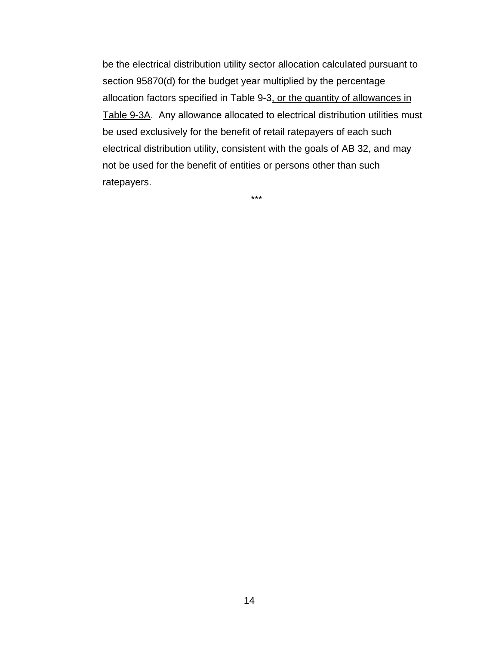be the electrical distribution utility sector allocation calculated pursuant to section 95870(d) for the budget year multiplied by the percentage allocation factors specified in Table 9-3, or the quantity of allowances in Table 9-3A. Any allowance allocated to electrical distribution utilities must be used exclusively for the benefit of retail ratepayers of each such electrical distribution utility, consistent with the goals of AB 32, and may not be used for the benefit of entities or persons other than such ratepayers.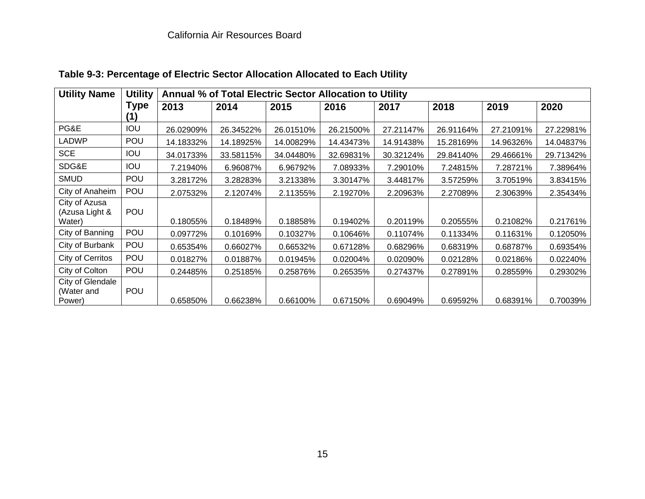| <b>Utility Name</b>                       | <b>Utility</b>     | Annual % of Total Electric Sector Allocation to Utility |           |           |           |           |           |           |           |  |  |
|-------------------------------------------|--------------------|---------------------------------------------------------|-----------|-----------|-----------|-----------|-----------|-----------|-----------|--|--|
|                                           | <b>Type</b><br>(1) | 2013                                                    | 2014      | 2015      | 2016      | 2017      | 2018      | 2019      | 2020      |  |  |
| PG&E                                      | IOU                | 26.02909%                                               | 26.34522% | 26.01510% | 26.21500% | 27.21147% | 26.91164% | 27.21091% | 27.22981% |  |  |
| <b>LADWP</b>                              | POU                | 14.18332%                                               | 14.18925% | 14.00829% | 14.43473% | 14.91438% | 15.28169% | 14.96326% | 14.04837% |  |  |
| <b>SCE</b>                                | <b>IOU</b>         | 34.01733%                                               | 33.58115% | 34.04480% | 32.69831% | 30.32124% | 29.84140% | 29.46661% | 29.71342% |  |  |
| SDG&E                                     | <b>IOU</b>         | 7.21940%                                                | 6.96087%  | 6.96792%  | 7.08933%  | 7.29010%  | 7.24815%  | 7.28721%  | 7.38964%  |  |  |
| <b>SMUD</b>                               | POU                | 3.28172%                                                | 3.28283%  | 3.21338%  | 3.30147%  | 3.44817%  | 3.57259%  | 3.70519%  | 3.83415%  |  |  |
| City of Anaheim                           | POU                | 2.07532%                                                | 2.12074%  | 2.11355%  | 2.19270%  | 2.20963%  | 2.27089%  | 2.30639%  | 2.35434%  |  |  |
| City of Azusa<br>(Azusa Light &<br>Water) | POU                | 0.18055%                                                | 0.18489%  | 0.18858%  | 0.19402%  | 0.20119%  | 0.20555%  | 0.21082%  | 0.21761%  |  |  |
| City of Banning                           | POU                | 0.09772%                                                | 0.10169%  | 0.10327%  | 0.10646%  | 0.11074%  | 0.11334%  | 0.11631%  | 0.12050%  |  |  |
| City of Burbank                           | POU                | 0.65354%                                                | 0.66027%  | 0.66532%  | 0.67128%  | 0.68296%  | 0.68319%  | 0.68787%  | 0.69354%  |  |  |
| City of Cerritos                          | POU                | 0.01827%                                                | 0.01887%  | 0.01945%  | 0.02004%  | 0.02090%  | 0.02128%  | 0.02186%  | 0.02240%  |  |  |
| City of Colton                            | POU                | 0.24485%                                                | 0.25185%  | 0.25876%  | 0.26535%  | 0.27437%  | 0.27891%  | 0.28559%  | 0.29302%  |  |  |
| City of Glendale<br>(Water and<br>Power)  | POU                | 0.65850%                                                | 0.66238%  | 0.66100%  | 0.67150%  | 0.69049%  | 0.69592%  | 0.68391%  | 0.70039%  |  |  |

**Table 9-3: Percentage of Electric Sector Allocation Allocated to Each Utility**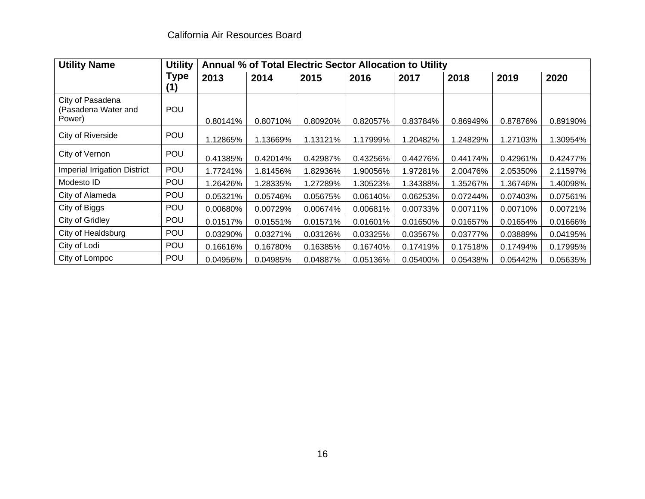| <b>Utility Name</b>                               | <b>Utility</b> | Annual % of Total Electric Sector Allocation to Utility |          |          |          |          |          |          |          |
|---------------------------------------------------|----------------|---------------------------------------------------------|----------|----------|----------|----------|----------|----------|----------|
|                                                   | Type<br>(1)    | 2013                                                    | 2014     | 2015     | 2016     | 2017     | 2018     | 2019     | 2020     |
| City of Pasadena<br>(Pasadena Water and<br>Power) | <b>POU</b>     | 0.80141%                                                | 0.80710% | 0.80920% | 0.82057% | 0.83784% | 0.86949% | 0.87876% | 0.89190% |
| City of Riverside                                 | POU            | 1.12865%                                                | 1.13669% | 1.13121% | 1.17999% | 1.20482% | 1.24829% | 1.27103% | 1.30954% |
| City of Vernon                                    | POU            | 0.41385%                                                | 0.42014% | 0.42987% | 0.43256% | 0.44276% | 0.44174% | 0.42961% | 0.42477% |
| <b>Imperial Irrigation District</b>               | POU            | 1.77241%                                                | 1.81456% | 1.82936% | 1.90056% | 1.97281% | 2.00476% | 2.05350% | 2.11597% |
| Modesto ID                                        | POU            | .26426%                                                 | 1.28335% | 1.27289% | 1.30523% | 1.34388% | 1.35267% | 1.36746% | 1.40098% |
| City of Alameda                                   | <b>POU</b>     | 0.05321%                                                | 0.05746% | 0.05675% | 0.06140% | 0.06253% | 0.07244% | 0.07403% | 0.07561% |
| City of Biggs                                     | POU            | 0.00680%                                                | 0.00729% | 0.00674% | 0.00681% | 0.00733% | 0.00711% | 0.00710% | 0.00721% |
| City of Gridley                                   | POU            | 0.01517%                                                | 0.01551% | 0.01571% | 0.01601% | 0.01650% | 0.01657% | 0.01654% | 0.01666% |
| City of Healdsburg                                | <b>POU</b>     | 0.03290%                                                | 0.03271% | 0.03126% | 0.03325% | 0.03567% | 0.03777% | 0.03889% | 0.04195% |
| City of Lodi                                      | <b>POU</b>     | 0.16616%                                                | 0.16780% | 0.16385% | 0.16740% | 0.17419% | 0.17518% | 0.17494% | 0.17995% |
| City of Lompoc                                    | <b>POU</b>     | 0.04956%                                                | 0.04985% | 0.04887% | 0.05136% | 0.05400% | 0.05438% | 0.05442% | 0.05635% |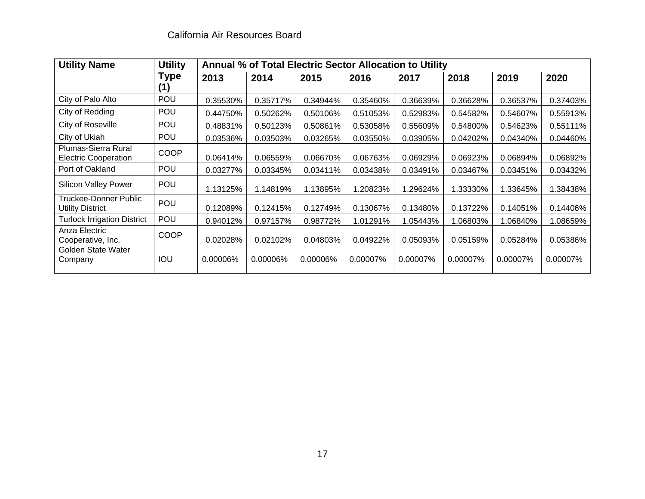| <b>Utility Name</b>                                | <b>Utility</b>    |          | Annual % of Total Electric Sector Allocation to Utility |          |          |          |          |          |          |
|----------------------------------------------------|-------------------|----------|---------------------------------------------------------|----------|----------|----------|----------|----------|----------|
|                                                    | <b>Type</b><br>41 | 2013     | 2014                                                    | 2015     | 2016     | 2017     | 2018     | 2019     | 2020     |
| City of Palo Alto                                  | POU               | 0.35530% | 0.35717%                                                | 0.34944% | 0.35460% | 0.36639% | 0.36628% | 0.36537% | 0.37403% |
| City of Redding                                    | <b>POU</b>        | 0.44750% | 0.50262%                                                | 0.50106% | 0.51053% | 0.52983% | 0.54582% | 0.54607% | 0.55913% |
| City of Roseville                                  | <b>POU</b>        | 0.48831% | 0.50123%                                                | 0.50861% | 0.53058% | 0.55609% | 0.54800% | 0.54623% | 0.55111% |
| City of Ukiah                                      | POU               | 0.03536% | 0.03503%                                                | 0.03265% | 0.03550% | 0.03905% | 0.04202% | 0.04340% | 0.04460% |
| Plumas-Sierra Rural<br><b>Electric Cooperation</b> | <b>COOP</b>       | 0.06414% | 0.06559%                                                | 0.06670% | 0.06763% | 0.06929% | 0.06923% | 0.06894% | 0.06892% |
| Port of Oakland                                    | POU               | 0.03277% | 0.03345%                                                | 0.03411% | 0.03438% | 0.03491% | 0.03467% | 0.03451% | 0.03432% |
| <b>Silicon Valley Power</b>                        | <b>POU</b>        | 1.13125% | 1.14819%                                                | 1.13895% | 1.20823% | 1.29624% | 1.33330% | 1.33645% | 1.38438% |
| Truckee-Donner Public<br>Utility District          | POU               | 0.12089% | 0.12415%                                                | 0.12749% | 0.13067% | 0.13480% | 0.13722% | 0.14051% | 0.14406% |
| <b>Turlock Irrigation District</b>                 | POU               | 0.94012% | 0.97157%                                                | 0.98772% | 1.01291% | 1.05443% | 1.06803% | 1.06840% | 1.08659% |
| Anza Electric<br>Cooperative, Inc.                 | <b>COOP</b>       | 0.02028% | 0.02102%                                                | 0.04803% | 0.04922% | 0.05093% | 0.05159% | 0.05284% | 0.05386% |
| Golden State Water<br>Company                      | IOU               | 0.00006% | 0.00006%                                                | 0.00006% | 0.00007% | 0.00007% | 0.00007% | 0.00007% | 0.00007% |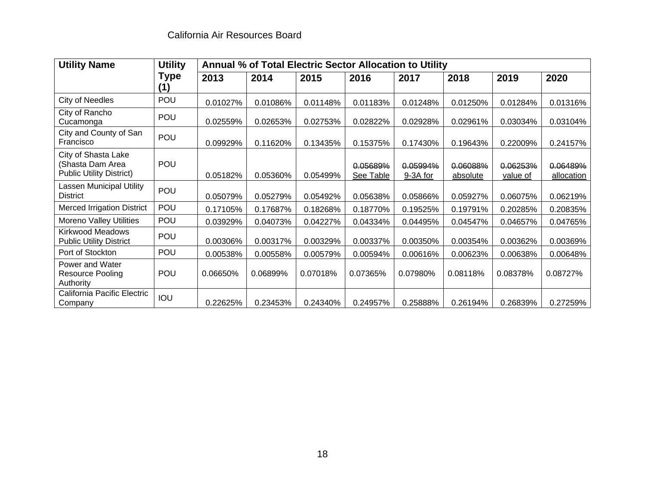| <b>Utility Name</b>                                                        | <b>Utility</b>     | Annual % of Total Electric Sector Allocation to Utility |          |          |                       |                      |                      |                      |                        |
|----------------------------------------------------------------------------|--------------------|---------------------------------------------------------|----------|----------|-----------------------|----------------------|----------------------|----------------------|------------------------|
|                                                                            | <b>Type</b><br>(1) | 2013                                                    | 2014     | 2015     | 2016                  | 2017                 | 2018                 | 2019                 | 2020                   |
| City of Needles                                                            | POU                | 0.01027%                                                | 0.01086% | 0.01148% | 0.01183%              | 0.01248%             | 0.01250%             | 0.01284%             | 0.01316%               |
| City of Rancho<br>Cucamonga                                                | <b>POU</b>         | 0.02559%                                                | 0.02653% | 0.02753% | 0.02822%              | 0.02928%             | 0.02961%             | 0.03034%             | 0.03104%               |
| City and County of San<br>Francisco                                        | <b>POU</b>         | 0.09929%                                                | 0.11620% | 0.13435% | 0.15375%              | 0.17430%             | 0.19643%             | 0.22009%             | 0.24157%               |
| City of Shasta Lake<br>(Shasta Dam Area<br><b>Public Utility District)</b> | <b>POU</b>         | 0.05182%                                                | 0.05360% | 0.05499% | 0.05689%<br>See Table | 0.05994%<br>9-3A for | 0.06088%<br>absolute | 0.06253%<br>value of | 0.06489%<br>allocation |
| Lassen Municipal Utility<br><b>District</b>                                | <b>POU</b>         | 0.05079%                                                | 0.05279% | 0.05492% | 0.05638%              | 0.05866%             | 0.05927%             | 0.06075%             | 0.06219%               |
| <b>Merced Irrigation District</b>                                          | POU                | 0.17105%                                                | 0.17687% | 0.18268% | 0.18770%              | 0.19525%             | 0.19791%             | 0.20285%             | 0.20835%               |
| <b>Moreno Valley Utilities</b>                                             | POU                | 0.03929%                                                | 0.04073% | 0.04227% | 0.04334%              | 0.04495%             | 0.04547%             | 0.04657%             | 0.04765%               |
| <b>Kirkwood Meadows</b><br><b>Public Utility District</b>                  | POU                | 0.00306%                                                | 0.00317% | 0.00329% | 0.00337%              | 0.00350%             | 0.00354%             | 0.00362%             | 0.00369%               |
| Port of Stockton                                                           | POU                | 0.00538%                                                | 0.00558% | 0.00579% | 0.00594%              | 0.00616%             | 0.00623%             | 0.00638%             | 0.00648%               |
| Power and Water<br><b>Resource Pooling</b><br>Authority                    | POU                | 0.06650%                                                | 0.06899% | 0.07018% | 0.07365%              | 0.07980%             | 0.08118%             | 0.08378%             | 0.08727%               |
| California Pacific Electric<br>Company                                     | IOU                | 0.22625%                                                | 0.23453% | 0.24340% | 0.24957%              | 0.25888%             | 0.26194%             | 0.26839%             | 0.27259%               |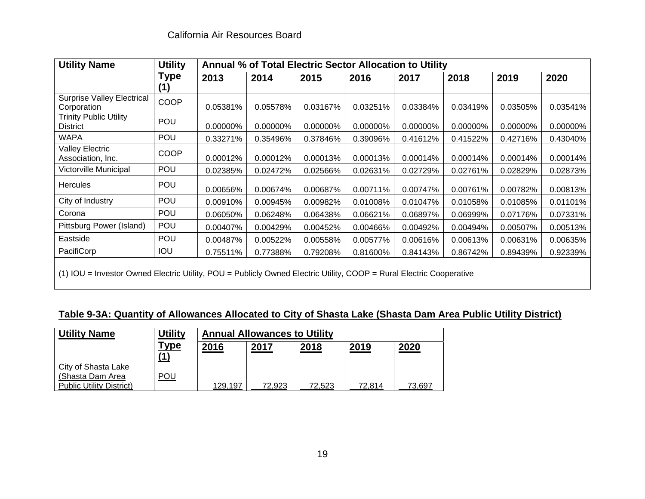| <b>Utility Name</b>                                                                                              | <b>Utility</b> |          | Annual % of Total Electric Sector Allocation to Utility |          |          |          |          |          |          |  |
|------------------------------------------------------------------------------------------------------------------|----------------|----------|---------------------------------------------------------|----------|----------|----------|----------|----------|----------|--|
|                                                                                                                  | <b>Type</b>    | 2013     | 2014                                                    | 2015     | 2016     | 2017     | 2018     | 2019     | 2020     |  |
| <b>Surprise Valley Electrical</b><br>Corporation                                                                 | <b>COOP</b>    | 0.05381% | 0.05578%                                                | 0.03167% | 0.03251% | 0.03384% | 0.03419% | 0.03505% | 0.03541% |  |
| <b>Trinity Public Utility</b><br><b>District</b>                                                                 | <b>POU</b>     | 0.00000% | 0.00000%                                                | 0.00000% | 0.00000% | 0.00000% | 0.00000% | 0.00000% | 0.00000% |  |
| <b>WAPA</b>                                                                                                      | POU            | 0.33271% | 0.35496%                                                | 0.37846% | 0.39096% | 0.41612% | 0.41522% | 0.42716% | 0.43040% |  |
| Valley Electric<br>Association, Inc.                                                                             | COOP           | 0.00012% | 0.00012%                                                | 0.00013% | 0.00013% | 0.00014% | 0.00014% | 0.00014% | 0.00014% |  |
| Victorville Municipal                                                                                            | POU            | 0.02385% | 0.02472%                                                | 0.02566% | 0.02631% | 0.02729% | 0.02761% | 0.02829% | 0.02873% |  |
| <b>Hercules</b>                                                                                                  | <b>POU</b>     | 0.00656% | 0.00674%                                                | 0.00687% | 0.00711% | 0.00747% | 0.00761% | 0.00782% | 0.00813% |  |
| City of Industry                                                                                                 | POU            | 0.00910% | 0.00945%                                                | 0.00982% | 0.01008% | 0.01047% | 0.01058% | 0.01085% | 0.01101% |  |
| Corona                                                                                                           | POU            | 0.06050% | 0.06248%                                                | 0.06438% | 0.06621% | 0.06897% | 0.06999% | 0.07176% | 0.07331% |  |
| Pittsburg Power (Island)                                                                                         | POU            | 0.00407% | 0.00429%                                                | 0.00452% | 0.00466% | 0.00492% | 0.00494% | 0.00507% | 0.00513% |  |
| Eastside                                                                                                         | POU            | 0.00487% | 0.00522%                                                | 0.00558% | 0.00577% | 0.00616% | 0.00613% | 0.00631% | 0.00635% |  |
| PacifiCorp                                                                                                       | IOU            | 0.75511% | 0.77388%                                                | 0.79208% | 0.81600% | 0.84143% | 0.86742% | 0.89439% | 0.92339% |  |
| (4) JOH - Investor Quinod Flootrio Hility DOH - Dublish Quinod Flootrio Hility COOD - Durol Flootrio Cooperative |                |          |                                                         |          |          |          |          |          |          |  |

(1) IOU = Investor Owned Electric Utility, POU = Publicly Owned Electric Utility, COOP = Rural Electric Cooperative

## **Table 9-3A: Quantity of Allowances Allocated to City of Shasta Lake (Shasta Dam Area Public Utility District)**

| <b>Utility Name</b>                                                        | <b>Utility</b> | <b>Annual Allowances to Utility</b> |             |        |        |        |  |  |  |
|----------------------------------------------------------------------------|----------------|-------------------------------------|-------------|--------|--------|--------|--|--|--|
|                                                                            | <u>Type</u>    | 2016                                | <u>2017</u> | 2018   | 2019   | 2020   |  |  |  |
| City of Shasta Lake<br>(Shasta Dam Area<br><b>Public Utility District)</b> | <u>POU</u>     | 129,197                             | 72,923      | 72,523 | 72,814 | 73,697 |  |  |  |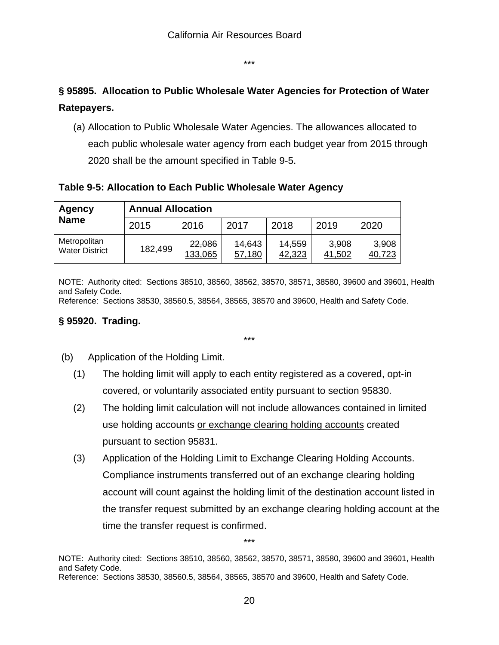\*\*\*

# **§ 95895. Allocation to Public Wholesale Water Agencies for Protection of Water Ratepayers.**

(a) Allocation to Public Wholesale Water Agencies. The allowances allocated to each public wholesale water agency from each budget year from 2015 through 2020 shall be the amount specified in Table 9-5.

**Table 9-5: Allocation to Each Public Wholesale Water Agency** 

| Agency                                | <b>Annual Allocation</b> |                   |                  |                  |                 |                 |  |  |  |  |
|---------------------------------------|--------------------------|-------------------|------------------|------------------|-----------------|-----------------|--|--|--|--|
| <b>Name</b>                           | 2015                     | 2016              | 2017             | 2018             | 2019            | 2020            |  |  |  |  |
| Metropolitan<br><b>Water District</b> | 182,499                  | 22,086<br>133,065 | 14,643<br>57,180 | 14,559<br>42,323 | 3,908<br>41,502 | 3,908<br>40,723 |  |  |  |  |

NOTE: Authority cited: Sections 38510, 38560, 38562, 38570, 38571, 38580, 39600 and 39601, Health and Safety Code.

\*\*\*

Reference: Sections 38530, 38560.5, 38564, 38565, 38570 and 39600, Health and Safety Code.

## **§ 95920. Trading.**

- (b) Application of the Holding Limit.
	- (1) The holding limit will apply to each entity registered as a covered, opt-in covered, or voluntarily associated entity pursuant to section 95830.
	- (2) The holding limit calculation will not include allowances contained in limited use holding accounts or exchange clearing holding accounts created pursuant to section 95831.
	- (3) Application of the Holding Limit to Exchange Clearing Holding Accounts. Compliance instruments transferred out of an exchange clearing holding account will count against the holding limit of the destination account listed in the transfer request submitted by an exchange clearing holding account at the time the transfer request is confirmed.

\*\*\*

NOTE: Authority cited: Sections 38510, 38560, 38562, 38570, 38571, 38580, 39600 and 39601, Health and Safety Code. Reference: Sections 38530, 38560.5, 38564, 38565, 38570 and 39600, Health and Safety Code.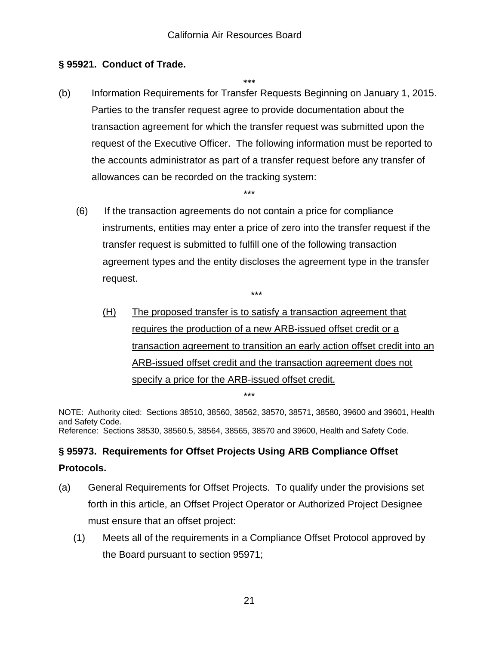# **§ 95921. Conduct of Trade.**

**\*\*\*** 

(b) Information Requirements for Transfer Requests Beginning on January 1, 2015. Parties to the transfer request agree to provide documentation about the transaction agreement for which the transfer request was submitted upon the request of the Executive Officer. The following information must be reported to the accounts administrator as part of a transfer request before any transfer of allowances can be recorded on the tracking system:

\*\*\*

 (6) If the transaction agreements do not contain a price for compliance instruments, entities may enter a price of zero into the transfer request if the transfer request is submitted to fulfill one of the following transaction agreement types and the entity discloses the agreement type in the transfer request.

\*\*\*

(H) The proposed transfer is to satisfy a transaction agreement that requires the production of a new ARB-issued offset credit or a transaction agreement to transition an early action offset credit into an ARB-issued offset credit and the transaction agreement does not specify a price for the ARB-issued offset credit. \*\*\*

NOTE: Authority cited: Sections 38510, 38560, 38562, 38570, 38571, 38580, 39600 and 39601, Health and Safety Code. Reference: Sections 38530, 38560.5, 38564, 38565, 38570 and 39600, Health and Safety Code.

# **§ 95973. Requirements for Offset Projects Using ARB Compliance Offset Protocols.**

- (a) General Requirements for Offset Projects. To qualify under the provisions set forth in this article, an Offset Project Operator or Authorized Project Designee must ensure that an offset project:
	- (1) Meets all of the requirements in a Compliance Offset Protocol approved by the Board pursuant to section 95971;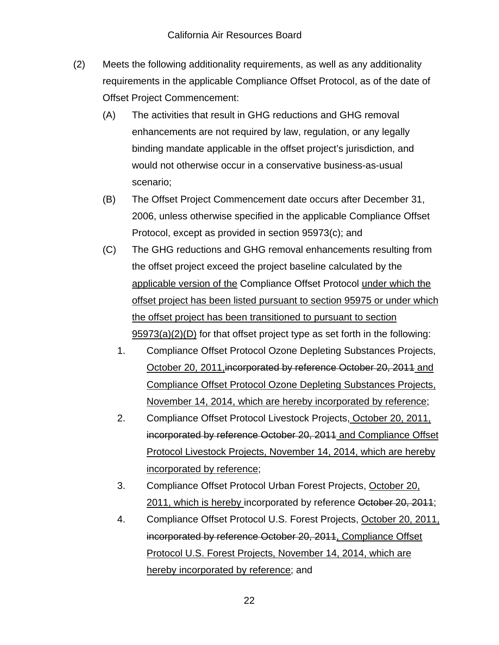- (2) Meets the following additionality requirements, as well as any additionality requirements in the applicable Compliance Offset Protocol, as of the date of Offset Project Commencement:
	- (A) The activities that result in GHG reductions and GHG removal enhancements are not required by law, regulation, or any legally binding mandate applicable in the offset project's jurisdiction, and would not otherwise occur in a conservative business-as-usual scenario;
	- (B) The Offset Project Commencement date occurs after December 31, 2006, unless otherwise specified in the applicable Compliance Offset Protocol, except as provided in section 95973(c); and
	- (C) The GHG reductions and GHG removal enhancements resulting from the offset project exceed the project baseline calculated by the applicable version of the Compliance Offset Protocol under which the offset project has been listed pursuant to section 95975 or under which the offset project has been transitioned to pursuant to section 95973(a)(2)(D) for that offset project type as set forth in the following:
		- 1. Compliance Offset Protocol Ozone Depleting Substances Projects, October 20, 2011,incorporated by reference October 20, 2011 and Compliance Offset Protocol Ozone Depleting Substances Projects, November 14, 2014, which are hereby incorporated by reference;
		- 2. Compliance Offset Protocol Livestock Projects, October 20, 2011, incorporated by reference October 20, 2011 and Compliance Offset Protocol Livestock Projects, November 14, 2014, which are hereby incorporated by reference;
		- 3. Compliance Offset Protocol Urban Forest Projects, October 20, 2011, which is hereby incorporated by reference October 20, 2011;
		- 4. Compliance Offset Protocol U.S. Forest Projects, October 20, 2011, incorporated by reference October 20, 2011, Compliance Offset Protocol U.S. Forest Projects, November 14, 2014, which are hereby incorporated by reference; and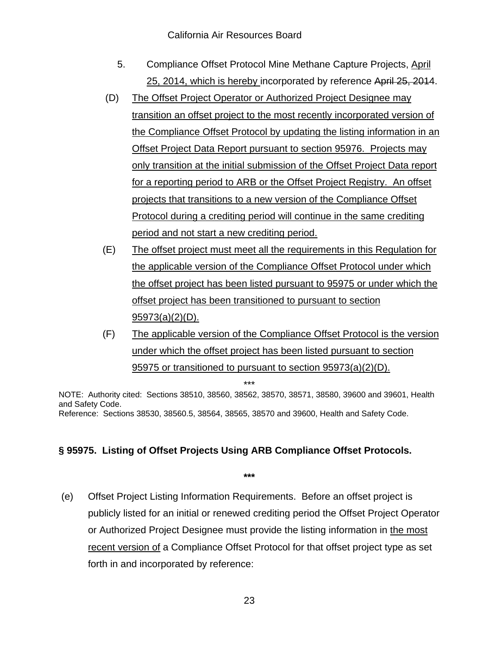- 5. Compliance Offset Protocol Mine Methane Capture Projects, April 25, 2014, which is hereby incorporated by reference April 25, 2014.
- (D) The Offset Project Operator or Authorized Project Designee may transition an offset project to the most recently incorporated version of the Compliance Offset Protocol by updating the listing information in an Offset Project Data Report pursuant to section 95976. Projects may only transition at the initial submission of the Offset Project Data report for a reporting period to ARB or the Offset Project Registry. An offset projects that transitions to a new version of the Compliance Offset Protocol during a crediting period will continue in the same crediting period and not start a new crediting period.
- (E) The offset project must meet all the requirements in this Regulation for the applicable version of the Compliance Offset Protocol under which the offset project has been listed pursuant to 95975 or under which the offset project has been transitioned to pursuant to section 95973(a)(2)(D).
- (F) The applicable version of the Compliance Offset Protocol is the version under which the offset project has been listed pursuant to section 95975 or transitioned to pursuant to section 95973(a)(2)(D).

\*\*\*

NOTE: Authority cited: Sections 38510, 38560, 38562, 38570, 38571, 38580, 39600 and 39601, Health and Safety Code. Reference: Sections 38530, 38560.5, 38564, 38565, 38570 and 39600, Health and Safety Code.

# **§ 95975. Listing of Offset Projects Using ARB Compliance Offset Protocols.**

 (e) Offset Project Listing Information Requirements. Before an offset project is publicly listed for an initial or renewed crediting period the Offset Project Operator or Authorized Project Designee must provide the listing information in the most recent version of a Compliance Offset Protocol for that offset project type as set forth in and incorporated by reference: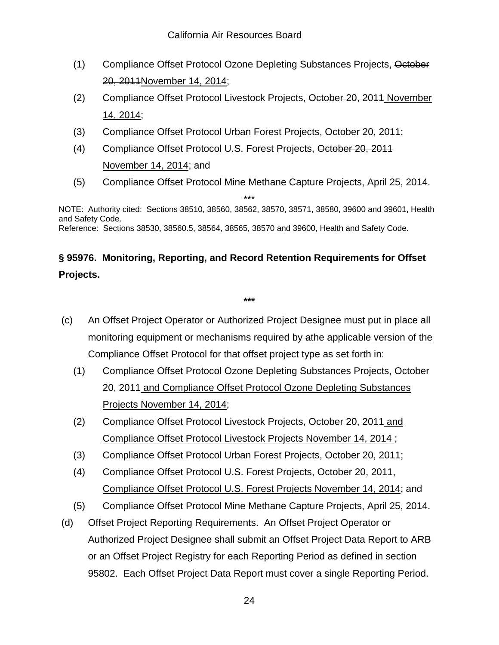- (1) Compliance Offset Protocol Ozone Depleting Substances Projects, October 20, 2011November 14, 2014;
- (2) Compliance Offset Protocol Livestock Projects, October 20, 2011 November 14, 2014;
- (3) Compliance Offset Protocol Urban Forest Projects, October 20, 2011;
- (4) Compliance Offset Protocol U.S. Forest Projects, October 20, 2011 November 14, 2014; and
- (5) Compliance Offset Protocol Mine Methane Capture Projects, April 25, 2014.

\*\*\* NOTE: Authority cited: Sections 38510, 38560, 38562, 38570, 38571, 38580, 39600 and 39601, Health and Safety Code. Reference: Sections 38530, 38560.5, 38564, 38565, 38570 and 39600, Health and Safety Code.

# **§ 95976. Monitoring, Reporting, and Record Retention Requirements for Offset Projects.**

- (c) An Offset Project Operator or Authorized Project Designee must put in place all monitoring equipment or mechanisms required by athe applicable version of the Compliance Offset Protocol for that offset project type as set forth in:
	- (1) Compliance Offset Protocol Ozone Depleting Substances Projects, October 20, 2011 and Compliance Offset Protocol Ozone Depleting Substances Projects November 14, 2014;
	- (2) Compliance Offset Protocol Livestock Projects, October 20, 2011 and Compliance Offset Protocol Livestock Projects November 14, 2014 ;
	- (3) Compliance Offset Protocol Urban Forest Projects, October 20, 2011;
	- (4) Compliance Offset Protocol U.S. Forest Projects, October 20, 2011, Compliance Offset Protocol U.S. Forest Projects November 14, 2014; and
	- (5) Compliance Offset Protocol Mine Methane Capture Projects, April 25, 2014.
- (d) Offset Project Reporting Requirements. An Offset Project Operator or Authorized Project Designee shall submit an Offset Project Data Report to ARB or an Offset Project Registry for each Reporting Period as defined in section 95802. Each Offset Project Data Report must cover a single Reporting Period.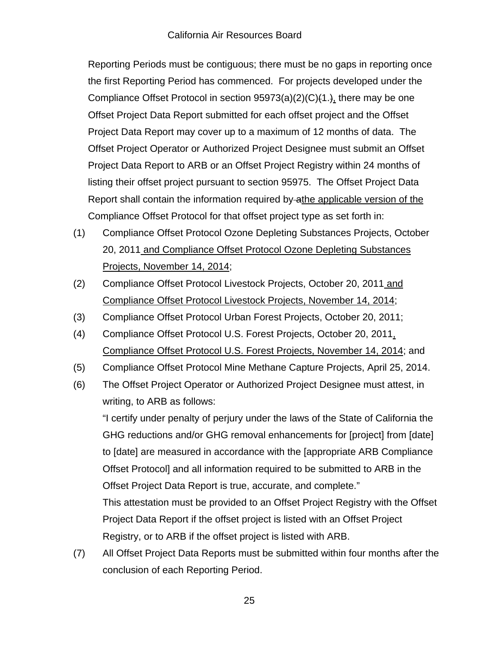Reporting Periods must be contiguous; there must be no gaps in reporting once the first Reporting Period has commenced. For projects developed under the Compliance Offset Protocol in section  $95973(a)(2)(C)(1.)$ , there may be one Offset Project Data Report submitted for each offset project and the Offset Project Data Report may cover up to a maximum of 12 months of data. The Offset Project Operator or Authorized Project Designee must submit an Offset Project Data Report to ARB or an Offset Project Registry within 24 months of listing their offset project pursuant to section 95975. The Offset Project Data Report shall contain the information required by athe applicable version of the Compliance Offset Protocol for that offset project type as set forth in:

- (1) Compliance Offset Protocol Ozone Depleting Substances Projects, October 20, 2011 and Compliance Offset Protocol Ozone Depleting Substances Projects, November 14, 2014;
- (2) Compliance Offset Protocol Livestock Projects, October 20, 2011 and Compliance Offset Protocol Livestock Projects, November 14, 2014;
- (3) Compliance Offset Protocol Urban Forest Projects, October 20, 2011;
- (4) Compliance Offset Protocol U.S. Forest Projects, October 20, 2011, Compliance Offset Protocol U.S. Forest Projects, November 14, 2014; and
- (5) Compliance Offset Protocol Mine Methane Capture Projects, April 25, 2014.
- (6) The Offset Project Operator or Authorized Project Designee must attest, in writing, to ARB as follows:

"I certify under penalty of perjury under the laws of the State of California the GHG reductions and/or GHG removal enhancements for [project] from [date] to [date] are measured in accordance with the [appropriate ARB Compliance Offset Protocol] and all information required to be submitted to ARB in the Offset Project Data Report is true, accurate, and complete." This attestation must be provided to an Offset Project Registry with the Offset Project Data Report if the offset project is listed with an Offset Project

(7) All Offset Project Data Reports must be submitted within four months after the conclusion of each Reporting Period.

Registry, or to ARB if the offset project is listed with ARB.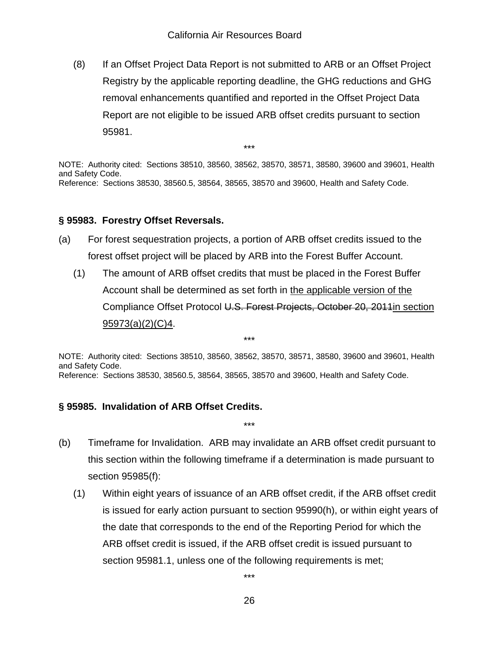(8) If an Offset Project Data Report is not submitted to ARB or an Offset Project Registry by the applicable reporting deadline, the GHG reductions and GHG removal enhancements quantified and reported in the Offset Project Data Report are not eligible to be issued ARB offset credits pursuant to section 95981.

\*\*\*

NOTE: Authority cited: Sections 38510, 38560, 38562, 38570, 38571, 38580, 39600 and 39601, Health and Safety Code. Reference: Sections 38530, 38560.5, 38564, 38565, 38570 and 39600, Health and Safety Code.

## **§ 95983. Forestry Offset Reversals.**

- (a) For forest sequestration projects, a portion of ARB offset credits issued to the forest offset project will be placed by ARB into the Forest Buffer Account.
	- (1) The amount of ARB offset credits that must be placed in the Forest Buffer Account shall be determined as set forth in the applicable version of the Compliance Offset Protocol U.S. Forest Projects, October 20, 2011in section 95973(a)(2)(C)4.

NOTE: Authority cited: Sections 38510, 38560, 38562, 38570, 38571, 38580, 39600 and 39601, Health and Safety Code. Reference: Sections 38530, 38560.5, 38564, 38565, 38570 and 39600, Health and Safety Code.

\*\*\*

# **§ 95985. Invalidation of ARB Offset Credits.**

(b) Timeframe for Invalidation. ARB may invalidate an ARB offset credit pursuant to this section within the following timeframe if a determination is made pursuant to section 95985(f):

\*\*\*

(1) Within eight years of issuance of an ARB offset credit, if the ARB offset credit is issued for early action pursuant to section 95990(h), or within eight years of the date that corresponds to the end of the Reporting Period for which the ARB offset credit is issued, if the ARB offset credit is issued pursuant to section 95981.1, unless one of the following requirements is met;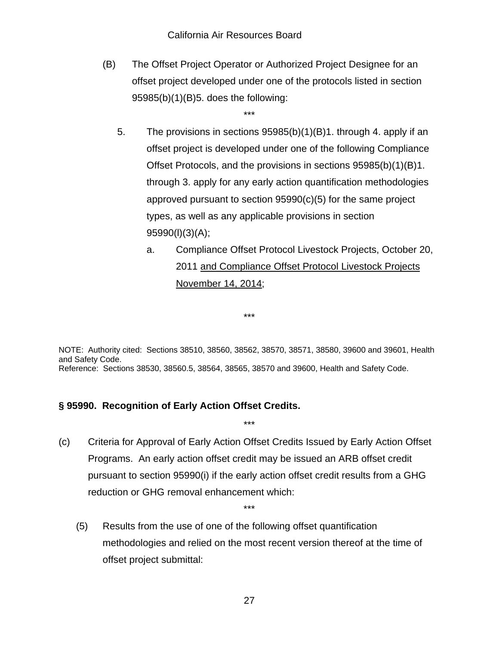(B) The Offset Project Operator or Authorized Project Designee for an offset project developed under one of the protocols listed in section 95985(b)(1)(B)5. does the following:

\*\*\*

- 5. The provisions in sections 95985(b)(1)(B)1. through 4. apply if an offset project is developed under one of the following Compliance Offset Protocols, and the provisions in sections 95985(b)(1)(B)1. through 3. apply for any early action quantification methodologies approved pursuant to section 95990(c)(5) for the same project types, as well as any applicable provisions in section 95990(l)(3)(A);
	- a. Compliance Offset Protocol Livestock Projects, October 20, 2011 and Compliance Offset Protocol Livestock Projects November 14, 2014;

NOTE: Authority cited: Sections 38510, 38560, 38562, 38570, 38571, 38580, 39600 and 39601, Health and Safety Code. Reference: Sections 38530, 38560.5, 38564, 38565, 38570 and 39600, Health and Safety Code.

\*\*\*

## **§ 95990. Recognition of Early Action Offset Credits.**

(c) Criteria for Approval of Early Action Offset Credits Issued by Early Action Offset Programs. An early action offset credit may be issued an ARB offset credit pursuant to section 95990(i) if the early action offset credit results from a GHG reduction or GHG removal enhancement which:

\*\*\*

 (5) Results from the use of one of the following offset quantification methodologies and relied on the most recent version thereof at the time of offset project submittal: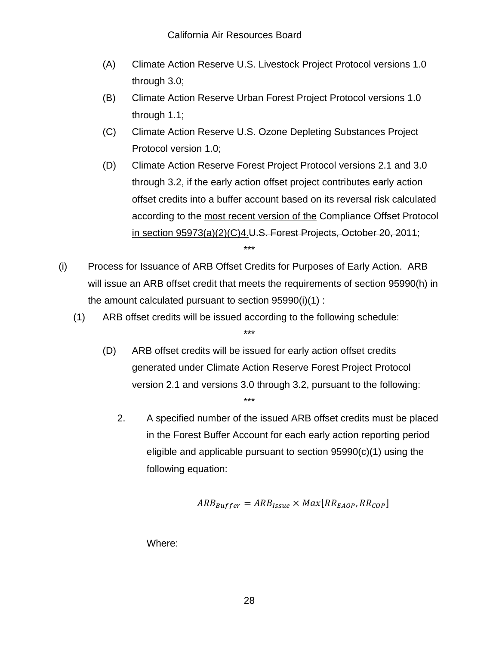- (A) Climate Action Reserve U.S. Livestock Project Protocol versions 1.0 through 3.0;
- (B) Climate Action Reserve Urban Forest Project Protocol versions 1.0 through 1.1;
- (C) Climate Action Reserve U.S. Ozone Depleting Substances Project Protocol version 1.0;
- (D) Climate Action Reserve Forest Project Protocol versions 2.1 and 3.0 through 3.2, if the early action offset project contributes early action offset credits into a buffer account based on its reversal risk calculated according to the most recent version of the Compliance Offset Protocol in section 95973(a)(2)(C)4.U.S. Forest Projects, October 20, 2011; \*\*\*
- (i) Process for Issuance of ARB Offset Credits for Purposes of Early Action. ARB will issue an ARB offset credit that meets the requirements of section 95990(h) in the amount calculated pursuant to section 95990(i)(1) :

\*\*\*

- (1) ARB offset credits will be issued according to the following schedule:
	- (D) ARB offset credits will be issued for early action offset credits generated under Climate Action Reserve Forest Project Protocol version 2.1 and versions 3.0 through 3.2, pursuant to the following: \*\*\*
		- 2. A specified number of the issued ARB offset credits must be placed in the Forest Buffer Account for each early action reporting period eligible and applicable pursuant to section 95990(c)(1) using the following equation:

$$
ARB_{Buffer} = ARB_{issue} \times Max[RR_{E AOP}, RR_{COP}]
$$

Where: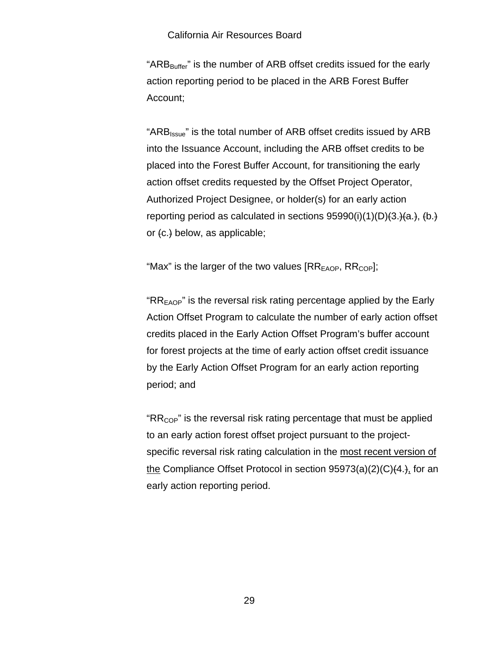#### California Air Resources Board

"ARB<sub>Buffer</sub>" is the number of ARB offset credits issued for the early action reporting period to be placed in the ARB Forest Buffer Account;

"ARB<sub>Issue</sub>" is the total number of ARB offset credits issued by ARB into the Issuance Account, including the ARB offset credits to be placed into the Forest Buffer Account, for transitioning the early action offset credits requested by the Offset Project Operator, Authorized Project Designee, or holder(s) for an early action reporting period as calculated in sections  $95990(i)(1)(D)(3.14a)$ ,  $(b.)$ or (c.) below, as applicable;

"Max" is the larger of the two values  $[RR_{FAOP}, RR_{COP}]$ ;

" $RR<sub>FAOP</sub>$ " is the reversal risk rating percentage applied by the Early Action Offset Program to calculate the number of early action offset credits placed in the Early Action Offset Program's buffer account for forest projects at the time of early action offset credit issuance by the Early Action Offset Program for an early action reporting period; and

" $RR_{COP}$ " is the reversal risk rating percentage that must be applied to an early action forest offset project pursuant to the projectspecific reversal risk rating calculation in the most recent version of the Compliance Offset Protocol in section  $95973(a)(2)(C)(4.)$ , for an early action reporting period.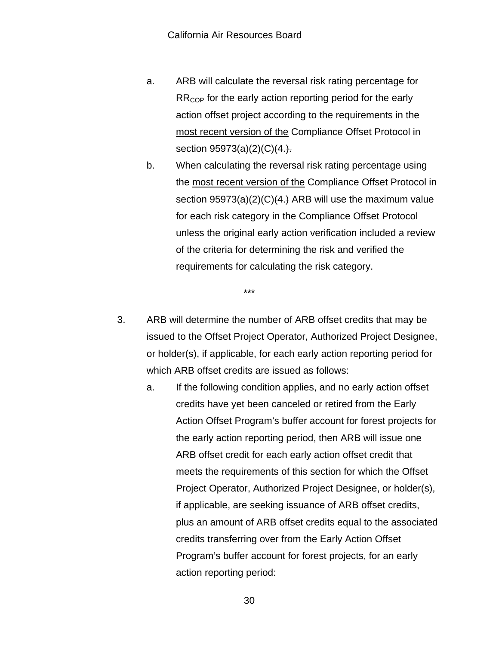- a. ARB will calculate the reversal risk rating percentage for  $RR<sub>CoP</sub>$  for the early action reporting period for the early action offset project according to the requirements in the most recent version of the Compliance Offset Protocol in section 95973(a)(2)(C)(4.).
- b. When calculating the reversal risk rating percentage using the most recent version of the Compliance Offset Protocol in section 95973(a)(2)(C)(4.) ARB will use the maximum value for each risk category in the Compliance Offset Protocol unless the original early action verification included a review of the criteria for determining the risk and verified the requirements for calculating the risk category.

3. ARB will determine the number of ARB offset credits that may be issued to the Offset Project Operator, Authorized Project Designee, or holder(s), if applicable, for each early action reporting period for which ARB offset credits are issued as follows:

\*\*\*

a. If the following condition applies, and no early action offset credits have yet been canceled or retired from the Early Action Offset Program's buffer account for forest projects for the early action reporting period, then ARB will issue one ARB offset credit for each early action offset credit that meets the requirements of this section for which the Offset Project Operator, Authorized Project Designee, or holder(s), if applicable, are seeking issuance of ARB offset credits, plus an amount of ARB offset credits equal to the associated credits transferring over from the Early Action Offset Program's buffer account for forest projects, for an early action reporting period:

30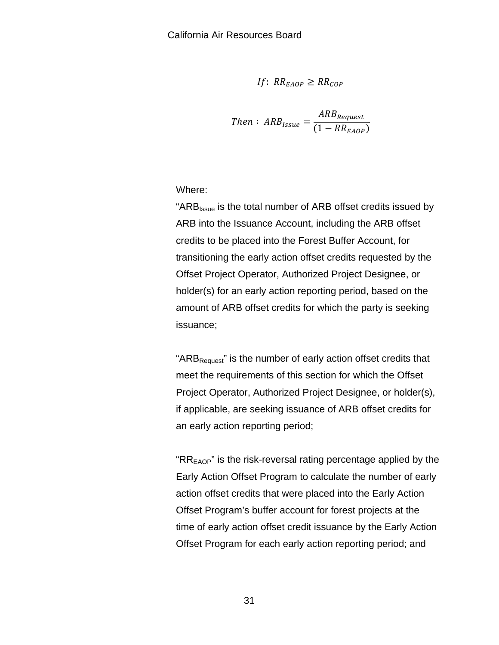If: 
$$
RR_{E AOP} \geq RR_{COP}
$$

Then: 
$$
ARB_{Issue} = \frac{ARB_{Request}}{(1 - RR_{EAOP})}
$$

Where:

"ARB<sub>Issue</sub> is the total number of ARB offset credits issued by ARB into the Issuance Account, including the ARB offset credits to be placed into the Forest Buffer Account, for transitioning the early action offset credits requested by the Offset Project Operator, Authorized Project Designee, or holder(s) for an early action reporting period, based on the amount of ARB offset credits for which the party is seeking issuance;

" $ARB<sub>Request</sub>$ " is the number of early action offset credits that meet the requirements of this section for which the Offset Project Operator, Authorized Project Designee, or holder(s), if applicable, are seeking issuance of ARB offset credits for an early action reporting period;

" $RR<sub>EAOP</sub>$ " is the risk-reversal rating percentage applied by the Early Action Offset Program to calculate the number of early action offset credits that were placed into the Early Action Offset Program's buffer account for forest projects at the time of early action offset credit issuance by the Early Action Offset Program for each early action reporting period; and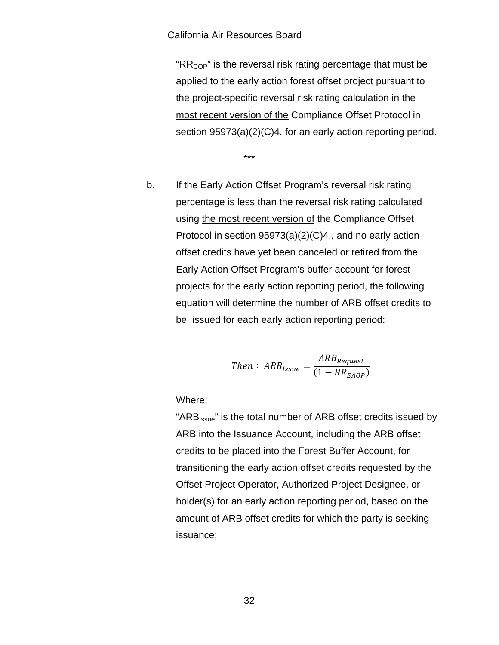#### California Air Resources Board

" $RR_{COP}$ " is the reversal risk rating percentage that must be applied to the early action forest offset project pursuant to the project-specific reversal risk rating calculation in the most recent version of the Compliance Offset Protocol in section 95973(a)(2)(C)4. for an early action reporting period.

\*\*\*

b. If the Early Action Offset Program's reversal risk rating percentage is less than the reversal risk rating calculated using the most recent version of the Compliance Offset Protocol in section 95973(a)(2)(C)4., and no early action offset credits have yet been canceled or retired from the Early Action Offset Program's buffer account for forest projects for the early action reporting period, the following equation will determine the number of ARB offset credits to be issued for each early action reporting period:

Then: 
$$
ARB_{Issue} = \frac{ARB_{Request}}{(1 - RR_{EAOP})}
$$

Where:

"ARBIssue" is the total number of ARB offset credits issued by ARB into the Issuance Account, including the ARB offset credits to be placed into the Forest Buffer Account, for transitioning the early action offset credits requested by the Offset Project Operator, Authorized Project Designee, or holder(s) for an early action reporting period, based on the amount of ARB offset credits for which the party is seeking issuance;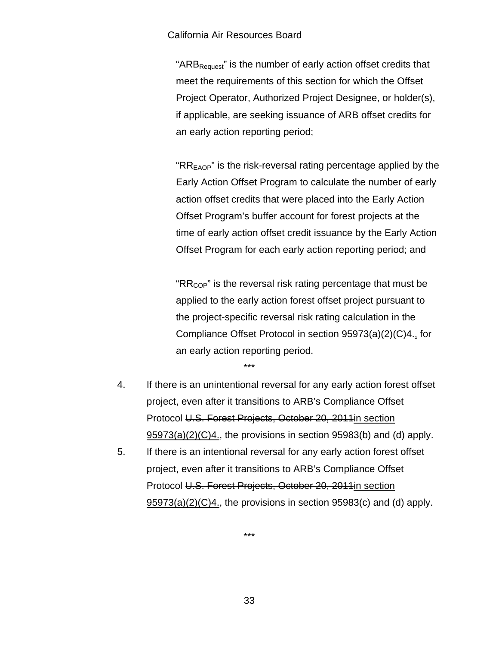#### California Air Resources Board

" $ARB<sub>Request</sub>$ " is the number of early action offset credits that meet the requirements of this section for which the Offset Project Operator, Authorized Project Designee, or holder(s), if applicable, are seeking issuance of ARB offset credits for an early action reporting period;

" $RR<sub>EAOP</sub>$ " is the risk-reversal rating percentage applied by the Early Action Offset Program to calculate the number of early action offset credits that were placed into the Early Action Offset Program's buffer account for forest projects at the time of early action offset credit issuance by the Early Action Offset Program for each early action reporting period; and

" $RR_{\text{COP}}$ " is the reversal risk rating percentage that must be applied to the early action forest offset project pursuant to the project-specific reversal risk rating calculation in the Compliance Offset Protocol in section 95973(a)(2)(C)4., for an early action reporting period.

\*\*\*

- 4. If there is an unintentional reversal for any early action forest offset project, even after it transitions to ARB's Compliance Offset Protocol U.S. Forest Projects, October 20, 2011in section 95973(a)(2)(C)4., the provisions in section 95983(b) and (d) apply.
- 5. If there is an intentional reversal for any early action forest offset project, even after it transitions to ARB's Compliance Offset Protocol U.S. Forest Projects, October 20, 2011in section 95973(a)(2)(C)4., the provisions in section 95983(c) and (d) apply.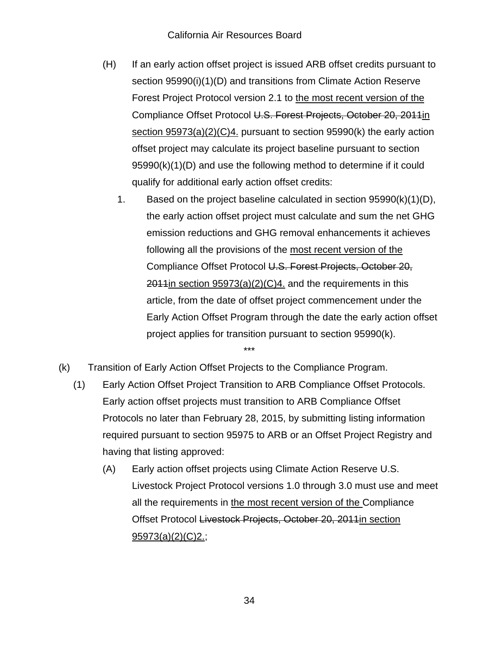- (H) If an early action offset project is issued ARB offset credits pursuant to section 95990(i)(1)(D) and transitions from Climate Action Reserve Forest Project Protocol version 2.1 to the most recent version of the Compliance Offset Protocol U.S. Forest Projects, October 20, 2011in section 95973(a)(2)(C)4. pursuant to section 95990(k) the early action offset project may calculate its project baseline pursuant to section 95990(k)(1)(D) and use the following method to determine if it could qualify for additional early action offset credits:
	- 1. Based on the project baseline calculated in section 95990(k)(1)(D), the early action offset project must calculate and sum the net GHG emission reductions and GHG removal enhancements it achieves following all the provisions of the most recent version of the Compliance Offset Protocol U.S. Forest Projects, October 20,  $2011$ in section 95973(a)(2)(C)4. and the requirements in this article, from the date of offset project commencement under the Early Action Offset Program through the date the early action offset project applies for transition pursuant to section 95990(k).
- (k) Transition of Early Action Offset Projects to the Compliance Program.
	- (1) Early Action Offset Project Transition to ARB Compliance Offset Protocols. Early action offset projects must transition to ARB Compliance Offset Protocols no later than February 28, 2015, by submitting listing information required pursuant to section 95975 to ARB or an Offset Project Registry and having that listing approved:

\*\*\*

(A) Early action offset projects using Climate Action Reserve U.S. Livestock Project Protocol versions 1.0 through 3.0 must use and meet all the requirements in the most recent version of the Compliance Offset Protocol Livestock Projects, October 20, 2011in section 95973(a)(2)(C)2.;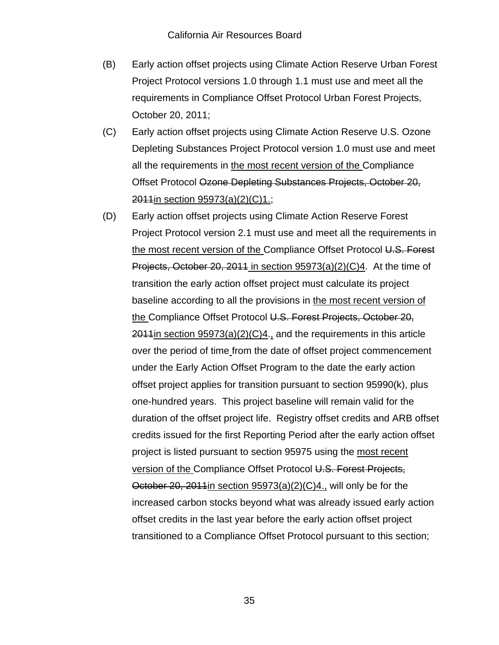- (B) Early action offset projects using Climate Action Reserve Urban Forest Project Protocol versions 1.0 through 1.1 must use and meet all the requirements in Compliance Offset Protocol Urban Forest Projects, October 20, 2011;
- (C) Early action offset projects using Climate Action Reserve U.S. Ozone Depleting Substances Project Protocol version 1.0 must use and meet all the requirements in the most recent version of the Compliance Offset Protocol Ozone Depleting Substances Projects, October 20, 2011in section 95973(a)(2)(C)1.;
- (D) Early action offset projects using Climate Action Reserve Forest Project Protocol version 2.1 must use and meet all the requirements in the most recent version of the Compliance Offset Protocol U.S. Forest Projects, October 20, 2011 in section 95973(a)(2)(C)4. At the time of transition the early action offset project must calculate its project baseline according to all the provisions in the most recent version of the Compliance Offset Protocol U.S. Forest Projects, October 20,  $2011$ in section  $95973(a)(2)(C)4$ ., and the requirements in this article over the period of time from the date of offset project commencement under the Early Action Offset Program to the date the early action offset project applies for transition pursuant to section 95990(k), plus one-hundred years. This project baseline will remain valid for the duration of the offset project life. Registry offset credits and ARB offset credits issued for the first Reporting Period after the early action offset project is listed pursuant to section 95975 using the most recent version of the Compliance Offset Protocol U.S. Forest Projects, October 20, 2011in section 95973(a)(2)(C)4., will only be for the increased carbon stocks beyond what was already issued early action offset credits in the last year before the early action offset project transitioned to a Compliance Offset Protocol pursuant to this section;

35